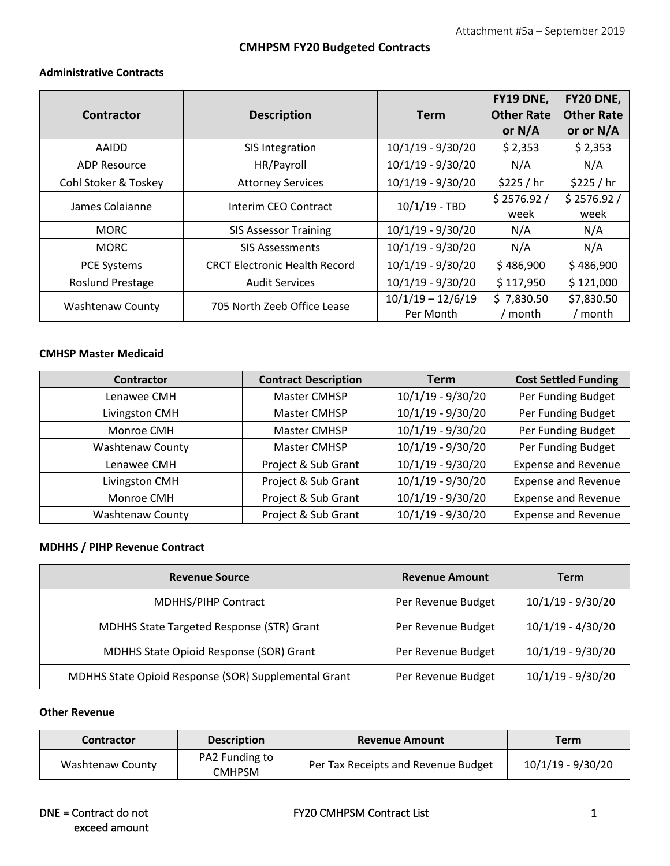# **CMHPSM FY20 Budgeted Contracts**

#### **Administrative Contracts**

|                         |                                      |                     | FY19 DNE,         | FY20 DNE,         |
|-------------------------|--------------------------------------|---------------------|-------------------|-------------------|
| Contractor              | <b>Description</b>                   | <b>Term</b>         | <b>Other Rate</b> | <b>Other Rate</b> |
|                         |                                      |                     | or $N/A$          | or or N/A         |
| AAIDD                   | SIS Integration                      | 10/1/19 - 9/30/20   | \$2,353           | \$2,353           |
| <b>ADP Resource</b>     | HR/Payroll                           | $10/1/19 - 9/30/20$ | N/A               | N/A               |
| Cohl Stoker & Toskey    | <b>Attorney Services</b>             | $10/1/19 - 9/30/20$ | \$225 / hr        | \$225 / hr        |
| James Colaianne         | Interim CEO Contract                 | $10/1/19$ - TBD     | \$2576.92/        | \$2576.92/        |
|                         |                                      |                     | week              | week              |
| <b>MORC</b>             | <b>SIS Assessor Training</b>         | 10/1/19 - 9/30/20   | N/A               | N/A               |
| <b>MORC</b>             | <b>SIS Assessments</b>               | $10/1/19 - 9/30/20$ | N/A               | N/A               |
| <b>PCE Systems</b>      | <b>CRCT Electronic Health Record</b> | $10/1/19 - 9/30/20$ | \$486,900         | \$486,900         |
| <b>Roslund Prestage</b> | <b>Audit Services</b>                | $10/1/19 - 9/30/20$ | \$117,950         | \$121,000         |
| <b>Washtenaw County</b> | 705 North Zeeb Office Lease          | $10/1/19 - 12/6/19$ | \$7,830.50        | \$7,830.50        |
|                         |                                      | Per Month           | month             | ' month           |

#### **CMHSP Master Medicaid**

| Contractor              | <b>Contract Description</b> | <b>Term</b>         | <b>Cost Settled Funding</b> |
|-------------------------|-----------------------------|---------------------|-----------------------------|
| Lenawee CMH             | Master CMHSP                | 10/1/19 - 9/30/20   | Per Funding Budget          |
| Livingston CMH          | Master CMHSP                | 10/1/19 - 9/30/20   | Per Funding Budget          |
| Monroe CMH              | Master CMHSP                | 10/1/19 - 9/30/20   | Per Funding Budget          |
| <b>Washtenaw County</b> | Master CMHSP                | $10/1/19 - 9/30/20$ | Per Funding Budget          |
| Lenawee CMH             | Project & Sub Grant         | $10/1/19 - 9/30/20$ | <b>Expense and Revenue</b>  |
| Livingston CMH          | Project & Sub Grant         | 10/1/19 - 9/30/20   | <b>Expense and Revenue</b>  |
| Monroe CMH              | Project & Sub Grant         | 10/1/19 - 9/30/20   | <b>Expense and Revenue</b>  |
| <b>Washtenaw County</b> | Project & Sub Grant         | 10/1/19 - 9/30/20   | <b>Expense and Revenue</b>  |

### **MDHHS / PIHP Revenue Contract**

| <b>Revenue Source</b>                                | <b>Revenue Amount</b> | <b>Term</b>         |
|------------------------------------------------------|-----------------------|---------------------|
| <b>MDHHS/PIHP Contract</b>                           | Per Revenue Budget    | $10/1/19 - 9/30/20$ |
| MDHHS State Targeted Response (STR) Grant            | Per Revenue Budget    | $10/1/19 - 4/30/20$ |
| MDHHS State Opioid Response (SOR) Grant              | Per Revenue Budget    | $10/1/19 - 9/30/20$ |
| MDHHS State Opioid Response (SOR) Supplemental Grant | Per Revenue Budget    | 10/1/19 - 9/30/20   |

#### **Other Revenue**

| <b>Contractor</b> | <b>Description</b>       | <b>Revenue Amount</b>               | Term                |
|-------------------|--------------------------|-------------------------------------|---------------------|
| Washtenaw County  | PA2 Funding to<br>CMHPSM | Per Tax Receipts and Revenue Budget | $10/1/19 - 9/30/20$ |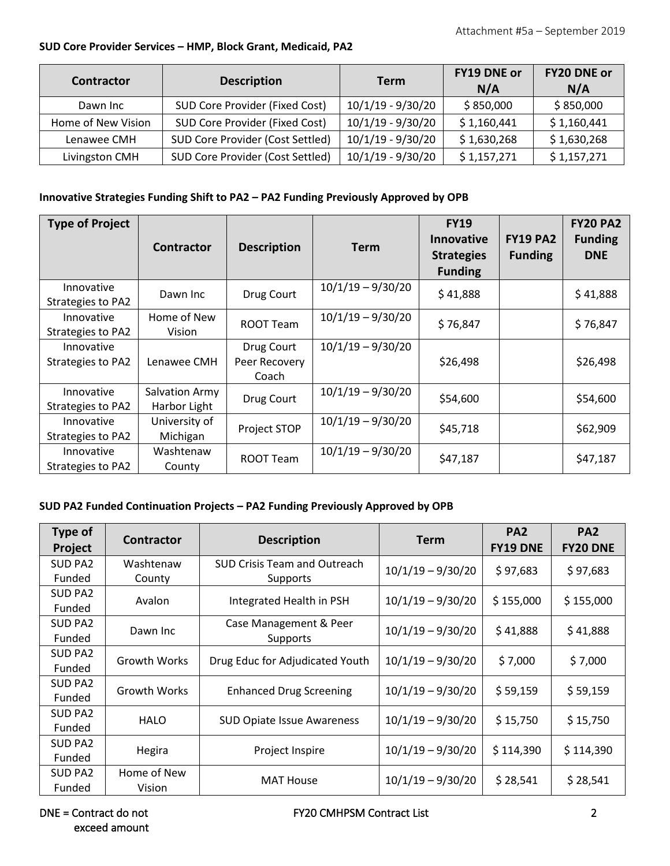### **SUD Core Provider Services – HMP, Block Grant, Medicaid, PA2**

| <b>Contractor</b>  | <b>Description</b>               | <b>Term</b>         | <b>FY19 DNE or</b><br>N/A | FY20 DNE or<br>N/A |
|--------------------|----------------------------------|---------------------|---------------------------|--------------------|
| Dawn Inc           | SUD Core Provider (Fixed Cost)   | $10/1/19 - 9/30/20$ | \$850,000                 | \$850,000          |
| Home of New Vision | SUD Core Provider (Fixed Cost)   | $10/1/19 - 9/30/20$ | \$1,160,441               | \$1,160,441        |
| Lenawee CMH        | SUD Core Provider (Cost Settled) | $10/1/19 - 9/30/20$ | \$1,630,268               | \$1,630,268        |
| Livingston CMH     | SUD Core Provider (Cost Settled) | $10/1/19 - 9/30/20$ | \$1,157,271               | \$1,157,271        |

### **Innovative Strategies Funding Shift to PA2 – PA2 Funding Previously Approved by OPB**

| <b>Type of Project</b>          | <b>Contractor</b>              | <b>Description</b>                   | <b>Term</b>         | <b>FY19</b><br><b>Innovative</b><br><b>Strategies</b><br><b>Funding</b> | <b>FY19 PA2</b><br><b>Funding</b> | <b>FY20 PA2</b><br><b>Funding</b><br><b>DNE</b> |
|---------------------------------|--------------------------------|--------------------------------------|---------------------|-------------------------------------------------------------------------|-----------------------------------|-------------------------------------------------|
| Innovative<br>Strategies to PA2 | Dawn Inc                       | Drug Court                           | $10/1/19 - 9/30/20$ | \$41,888                                                                |                                   | \$41,888                                        |
| Innovative<br>Strategies to PA2 | Home of New<br>Vision          | ROOT Team                            | $10/1/19 - 9/30/20$ | \$76,847                                                                |                                   | \$76,847                                        |
| Innovative<br>Strategies to PA2 | Lenawee CMH                    | Drug Court<br>Peer Recovery<br>Coach | $10/1/19 - 9/30/20$ | \$26,498                                                                |                                   | \$26,498                                        |
| Innovative<br>Strategies to PA2 | Salvation Army<br>Harbor Light | Drug Court                           | $10/1/19 - 9/30/20$ | \$54,600                                                                |                                   | \$54,600                                        |
| Innovative<br>Strategies to PA2 | University of<br>Michigan      | Project STOP                         | $10/1/19 - 9/30/20$ | \$45,718                                                                |                                   | \$62,909                                        |
| Innovative<br>Strategies to PA2 | Washtenaw<br>County            | ROOT Team                            | $10/1/19 - 9/30/20$ | \$47,187                                                                |                                   | \$47,187                                        |

# **SUD PA2 Funded Continuation Projects – PA2 Funding Previously Approved by OPB**

| <b>Type of</b><br>Project | <b>Contractor</b>   | <b>Description</b>                  | Term                | PA <sub>2</sub><br><b>FY19 DNE</b> | PA <sub>2</sub><br><b>FY20 DNE</b> |
|---------------------------|---------------------|-------------------------------------|---------------------|------------------------------------|------------------------------------|
| <b>SUD PA2</b>            | Washtenaw           | <b>SUD Crisis Team and Outreach</b> | $10/1/19 - 9/30/20$ | \$97,683                           | \$97,683                           |
| Funded                    | County              | Supports                            |                     |                                    |                                    |
| <b>SUD PA2</b>            | Avalon              | Integrated Health in PSH            | $10/1/19 - 9/30/20$ | \$155,000                          | \$155,000                          |
| Funded                    |                     |                                     |                     |                                    |                                    |
| <b>SUD PA2</b>            | Dawn Inc            | Case Management & Peer              | $10/1/19 - 9/30/20$ |                                    | \$41,888                           |
| Funded                    |                     | Supports                            |                     | \$41,888                           |                                    |
| <b>SUD PA2</b>            | <b>Growth Works</b> | Drug Educ for Adjudicated Youth     | $10/1/19 - 9/30/20$ | \$7,000                            | \$7,000                            |
| Funded                    |                     |                                     |                     |                                    |                                    |
| SUD PA2                   | <b>Growth Works</b> |                                     | $10/1/19 - 9/30/20$ | \$59,159                           |                                    |
| Funded                    |                     | <b>Enhanced Drug Screening</b>      |                     |                                    | \$59,159                           |
| <b>SUD PA2</b>            | <b>HALO</b>         | <b>SUD Opiate Issue Awareness</b>   | $10/1/19 - 9/30/20$ | \$15,750                           | \$15,750                           |
| Funded                    |                     |                                     |                     |                                    |                                    |
| <b>SUD PA2</b>            |                     |                                     | $10/1/19 - 9/30/20$ |                                    |                                    |
| Funded                    | Hegira              | Project Inspire                     |                     | \$114,390                          | \$114,390                          |
| <b>SUD PA2</b>            | Home of New         | <b>MAT House</b>                    | $10/1/19 - 9/30/20$ | \$28,541                           | \$28,541                           |
| Funded                    | Vision              |                                     |                     |                                    |                                    |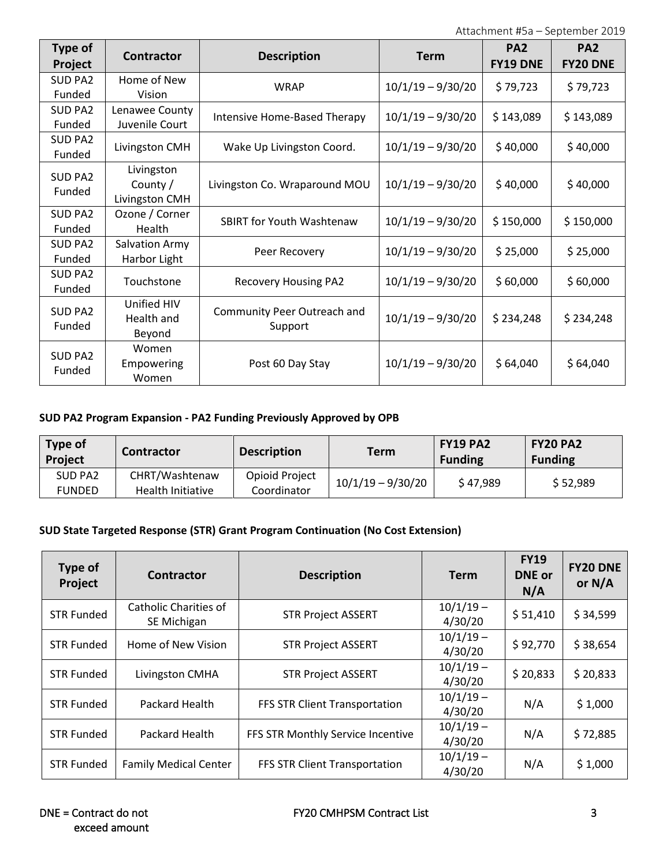| <b>Type of</b><br>Project | Contractor                               | <b>Description</b>                     | <b>Term</b>         | PA <sub>2</sub><br><b>FY19 DNE</b> | <b>PA2</b><br><b>FY20 DNE</b> |
|---------------------------|------------------------------------------|----------------------------------------|---------------------|------------------------------------|-------------------------------|
| <b>SUD PA2</b><br>Funded  | Home of New<br>Vision                    | <b>WRAP</b>                            | $10/1/19 - 9/30/20$ | \$79,723                           | \$79,723                      |
| SUD PA2<br>Funded         | Lenawee County<br>Juvenile Court         | Intensive Home-Based Therapy           | $10/1/19 - 9/30/20$ | \$143,089                          | \$143,089                     |
| <b>SUD PA2</b><br>Funded  | Livingston CMH                           | Wake Up Livingston Coord.              | $10/1/19 - 9/30/20$ | \$40,000                           | \$40,000                      |
| SUD PA2<br>Funded         | Livingston<br>County /<br>Livingston CMH | Livingston Co. Wraparound MOU          | $10/1/19 - 9/30/20$ | \$40,000                           | \$40,000                      |
| SUD PA2<br>Funded         | Ozone / Corner<br>Health                 | <b>SBIRT for Youth Washtenaw</b>       | $10/1/19 - 9/30/20$ | \$150,000                          | \$150,000                     |
| <b>SUD PA2</b><br>Funded  | Salvation Army<br>Harbor Light           | Peer Recovery                          | $10/1/19 - 9/30/20$ | \$25,000                           | \$25,000                      |
| SUD PA2<br>Funded         | Touchstone                               | <b>Recovery Housing PA2</b>            | $10/1/19 - 9/30/20$ | \$60,000                           | \$60,000                      |
| <b>SUD PA2</b><br>Funded  | Unified HIV<br>Health and<br>Beyond      | Community Peer Outreach and<br>Support | $10/1/19 - 9/30/20$ | \$234,248                          | \$234,248                     |
| SUD PA2<br>Funded         | Women<br>Empowering<br>Women             | Post 60 Day Stay                       | $10/1/19 - 9/30/20$ | \$64,040                           | \$64,040                      |

# **SUD PA2 Program Expansion - PA2 Funding Previously Approved by OPB**

| Type of<br><b>Project</b> | Contractor                          | <b>Description</b>            | Term                | <b>FY19 PA2</b><br><b>Funding</b> | <b>FY20 PA2</b><br><b>Funding</b> |
|---------------------------|-------------------------------------|-------------------------------|---------------------|-----------------------------------|-----------------------------------|
| SUD PA2<br><b>FUNDED</b>  | CHRT/Washtenaw<br>Health Initiative | Opioid Project<br>Coordinator | $10/1/19 - 9/30/20$ | \$47,989                          | \$52,989                          |

## **SUD State Targeted Response (STR) Grant Program Continuation (No Cost Extension)**

| Type of<br>Project | <b>Contractor</b>                    | <b>Description</b>                | <b>Term</b>            | <b>FY19</b><br><b>DNE</b> or<br>N/A | <b>FY20 DNE</b><br>or $N/A$ |
|--------------------|--------------------------------------|-----------------------------------|------------------------|-------------------------------------|-----------------------------|
| <b>STR Funded</b>  | Catholic Charities of<br>SE Michigan | <b>STR Project ASSERT</b>         | $10/1/19 -$<br>4/30/20 | \$51,410                            | \$34,599                    |
| <b>STR Funded</b>  | Home of New Vision                   | <b>STR Project ASSERT</b>         | $10/1/19 -$<br>4/30/20 | \$92,770                            | \$38,654                    |
| <b>STR Funded</b>  | Livingston CMHA                      | <b>STR Project ASSERT</b>         | $10/1/19 -$<br>4/30/20 | \$20,833                            | \$20,833                    |
| <b>STR Funded</b>  | Packard Health                       | FFS STR Client Transportation     | $10/1/19 -$<br>4/30/20 | N/A                                 | \$1,000                     |
| <b>STR Funded</b>  | Packard Health                       | FFS STR Monthly Service Incentive | $10/1/19 -$<br>4/30/20 | N/A                                 | \$72,885                    |
| <b>STR Funded</b>  | <b>Family Medical Center</b>         | FFS STR Client Transportation     | $10/1/19 -$<br>4/30/20 | N/A                                 | \$1,000                     |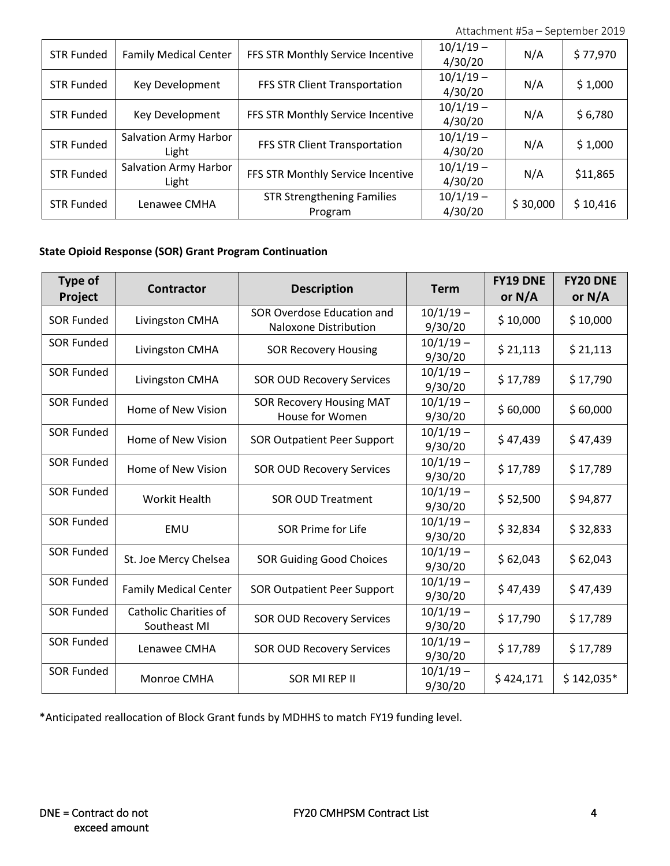| <b>STR Funded</b> | <b>Family Medical Center</b>   | FFS STR Monthly Service Incentive            | $10/1/19 -$<br>4/30/20 | N/A      | \$77,970 |
|-------------------|--------------------------------|----------------------------------------------|------------------------|----------|----------|
| <b>STR Funded</b> | Key Development                | FFS STR Client Transportation                | $10/1/19 -$<br>4/30/20 | N/A      | \$1,000  |
| <b>STR Funded</b> | Key Development                | FFS STR Monthly Service Incentive            | $10/1/19 -$<br>4/30/20 | N/A      | \$6,780  |
| <b>STR Funded</b> | Salvation Army Harbor<br>Light | FFS STR Client Transportation                | $10/1/19 -$<br>4/30/20 | N/A      | \$1,000  |
| <b>STR Funded</b> | Salvation Army Harbor<br>Light | FFS STR Monthly Service Incentive            | $10/1/19 -$<br>4/30/20 | N/A      | \$11,865 |
| <b>STR Funded</b> | Lenawee CMHA                   | <b>STR Strengthening Families</b><br>Program | $10/1/19 -$<br>4/30/20 | \$30,000 | \$10,416 |

## **State Opioid Response (SOR) Grant Program Continuation**

| Type of<br>Project | <b>Contractor</b>                     | <b>Description</b>                                  | <b>Term</b>            | <b>FY19 DNE</b><br>or N/A | <b>FY20 DNE</b><br>or N/A |
|--------------------|---------------------------------------|-----------------------------------------------------|------------------------|---------------------------|---------------------------|
| <b>SOR Funded</b>  | Livingston CMHA                       | SOR Overdose Education and<br>Naloxone Distribution | $10/1/19 -$<br>9/30/20 | \$10,000                  | \$10,000                  |
| <b>SOR Funded</b>  | Livingston CMHA                       | <b>SOR Recovery Housing</b>                         | $10/1/19 -$<br>9/30/20 | \$21,113                  | \$21,113                  |
| <b>SOR Funded</b>  | Livingston CMHA                       | <b>SOR OUD Recovery Services</b>                    | $10/1/19 -$<br>9/30/20 | \$17,789                  | \$17,790                  |
| <b>SOR Funded</b>  | Home of New Vision                    | <b>SOR Recovery Housing MAT</b><br>House for Women  | $10/1/19 -$<br>9/30/20 | \$60,000                  | \$60,000                  |
| <b>SOR Funded</b>  | Home of New Vision                    | <b>SOR Outpatient Peer Support</b>                  | $10/1/19 -$<br>9/30/20 | \$47,439                  | \$47,439                  |
| <b>SOR Funded</b>  | Home of New Vision                    | <b>SOR OUD Recovery Services</b>                    | $10/1/19 -$<br>9/30/20 | \$17,789                  | \$17,789                  |
| <b>SOR Funded</b>  | <b>Workit Health</b>                  | <b>SOR OUD Treatment</b>                            | $10/1/19 -$<br>9/30/20 | \$52,500                  | \$94,877                  |
| <b>SOR Funded</b>  | EMU                                   | <b>SOR Prime for Life</b>                           | $10/1/19 -$<br>9/30/20 | \$32,834                  | \$32,833                  |
| <b>SOR Funded</b>  | St. Joe Mercy Chelsea                 | <b>SOR Guiding Good Choices</b>                     | $10/1/19 -$<br>9/30/20 | \$62,043                  | \$62,043                  |
| <b>SOR Funded</b>  | <b>Family Medical Center</b>          | <b>SOR Outpatient Peer Support</b>                  | $10/1/19 -$<br>9/30/20 | \$47,439                  | \$47,439                  |
| <b>SOR Funded</b>  | Catholic Charities of<br>Southeast MI | <b>SOR OUD Recovery Services</b>                    | $10/1/19 -$<br>9/30/20 | \$17,790                  | \$17,789                  |
| <b>SOR Funded</b>  | Lenawee CMHA                          | <b>SOR OUD Recovery Services</b>                    | $10/1/19 -$<br>9/30/20 | \$17,789                  | \$17,789                  |
| <b>SOR Funded</b>  | Monroe CMHA                           | SOR MI REP II                                       | $10/1/19 -$<br>9/30/20 | \$424,171                 | $$142,035*$               |

\*Anticipated reallocation of Block Grant funds by MDHHS to match FY19 funding level.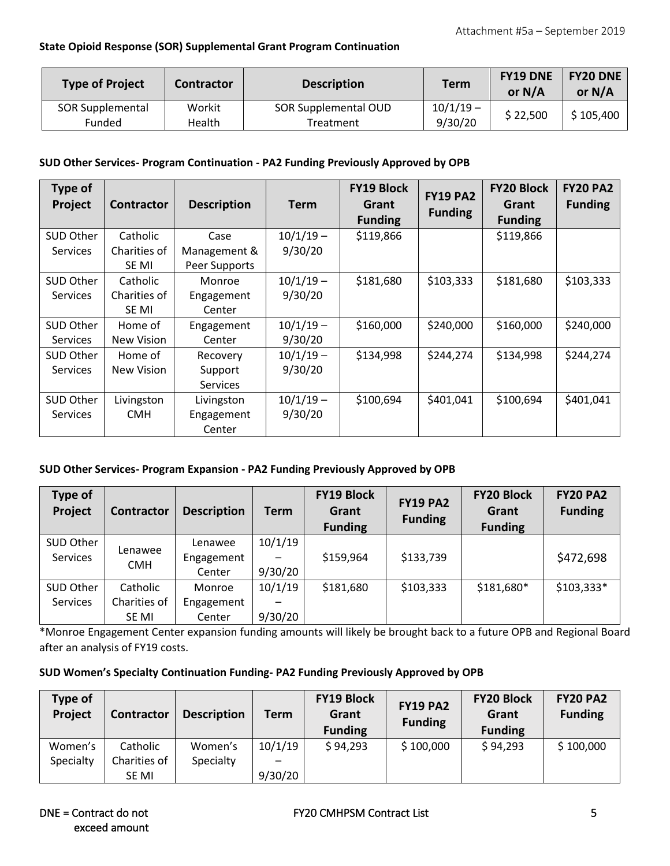## **State Opioid Response (SOR) Supplemental Grant Program Continuation**

| <b>Type of Project</b>     | Contractor       | <b>Description</b>                | <b>Term</b>            | <b>FY19 DNE</b><br>or $N/A$ | <b>FY20 DNE</b><br>or $N/A$ |
|----------------------------|------------------|-----------------------------------|------------------------|-----------------------------|-----------------------------|
| SOR Supplemental<br>Funded | Workit<br>Health | SOR Supplemental OUD<br>Treatment | $10/1/19 -$<br>9/30/20 | \$22,500                    | \$105,400                   |

#### **SUD Other Services- Program Continuation - PA2 Funding Previously Approved by OPB**

| Type of         |                   |                    |             | <b>FY19 Block</b> | <b>FY19 PA2</b> | <b>FY20 Block</b> | <b>FY20 PA2</b> |
|-----------------|-------------------|--------------------|-------------|-------------------|-----------------|-------------------|-----------------|
| Project         | <b>Contractor</b> | <b>Description</b> | <b>Term</b> | Grant             | <b>Funding</b>  | Grant             | <b>Funding</b>  |
|                 |                   |                    |             | <b>Funding</b>    |                 | <b>Funding</b>    |                 |
| SUD Other       | Catholic          | Case               | $10/1/19 -$ | \$119,866         |                 | \$119,866         |                 |
| <b>Services</b> | Charities of      | Management &       | 9/30/20     |                   |                 |                   |                 |
|                 | SE MI             | Peer Supports      |             |                   |                 |                   |                 |
| SUD Other       | Catholic          | Monroe             | $10/1/19 -$ | \$181,680         | \$103,333       | \$181,680         | \$103,333       |
| <b>Services</b> | Charities of      | Engagement         | 9/30/20     |                   |                 |                   |                 |
|                 | SE MI             | Center             |             |                   |                 |                   |                 |
| SUD Other       | Home of           | Engagement         | $10/1/19 -$ | \$160,000         | \$240,000       | \$160,000         | \$240,000       |
| <b>Services</b> | New Vision        | Center             | 9/30/20     |                   |                 |                   |                 |
| SUD Other       | Home of           | Recovery           | $10/1/19 -$ | \$134,998         | \$244,274       | \$134,998         | \$244,274       |
| <b>Services</b> | New Vision        | Support            | 9/30/20     |                   |                 |                   |                 |
|                 |                   | <b>Services</b>    |             |                   |                 |                   |                 |
| SUD Other       | Livingston        | Livingston         | $10/1/19 -$ | \$100,694         | \$401,041       | \$100,694         | \$401,041       |
| <b>Services</b> | <b>CMH</b>        | Engagement         | 9/30/20     |                   |                 |                   |                 |
|                 |                   | Center             |             |                   |                 |                   |                 |

## **SUD Other Services- Program Expansion - PA2 Funding Previously Approved by OPB**

| Type of<br>Project           | <b>Contractor</b>                 | <b>Description</b>              | <b>Term</b>        | <b>FY19 Block</b><br>Grant<br><b>Funding</b> | <b>FY19 PA2</b><br><b>Funding</b> | <b>FY20 Block</b><br>Grant<br><b>Funding</b> | <b>FY20 PA2</b><br><b>Funding</b> |
|------------------------------|-----------------------------------|---------------------------------|--------------------|----------------------------------------------|-----------------------------------|----------------------------------------------|-----------------------------------|
| SUD Other<br>Services        | Lenawee<br><b>CMH</b>             | Lenawee<br>Engagement<br>Center | 10/1/19<br>9/30/20 | \$159,964                                    | \$133,739                         |                                              | \$472,698                         |
| SUD Other<br><b>Services</b> | Catholic<br>Charities of<br>SE MI | Monroe<br>Engagement<br>Center  | 10/1/19<br>9/30/20 | \$181,680                                    | \$103,333                         | \$181,680*                                   | $$103,333*$                       |

\*Monroe Engagement Center expansion funding amounts will likely be brought back to a future OPB and Regional Board after an analysis of FY19 costs.

#### **SUD Women's Specialty Continuation Funding- PA2 Funding Previously Approved by OPB**

| Type of<br>Project | <b>Contractor</b> | <b>Description</b> | Term    | <b>FY19 Block</b><br>Grant<br><b>Funding</b> | <b>FY19 PA2</b><br><b>Funding</b> | <b>FY20 Block</b><br>Grant<br><b>Funding</b> | <b>FY20 PA2</b><br><b>Funding</b> |
|--------------------|-------------------|--------------------|---------|----------------------------------------------|-----------------------------------|----------------------------------------------|-----------------------------------|
| Women's            | Catholic          | Women's            | 10/1/19 | \$94,293                                     | \$100,000                         | \$94,293                                     | \$100,000                         |
| Specialty          | Charities of      | Specialty          |         |                                              |                                   |                                              |                                   |
|                    | SE MI             |                    | 9/30/20 |                                              |                                   |                                              |                                   |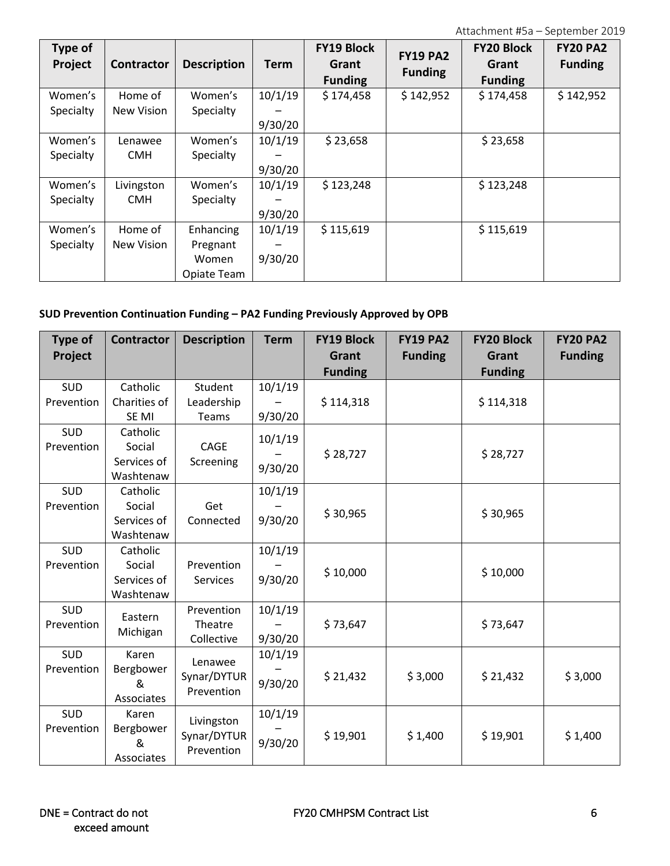| Type of<br>Project | <b>Contractor</b> | <b>Description</b> | <b>Term</b> | <b>FY19 Block</b><br>Grant<br><b>Funding</b> | <b>FY19 PA2</b><br><b>Funding</b> | <b>FY20 Block</b><br>Grant<br><b>Funding</b> | <b>FY20 PA2</b><br><b>Funding</b> |
|--------------------|-------------------|--------------------|-------------|----------------------------------------------|-----------------------------------|----------------------------------------------|-----------------------------------|
| Women's            | Home of           | Women's            | 10/1/19     | \$174,458                                    | \$142,952                         | \$174,458                                    | \$142,952                         |
| Specialty          | New Vision        | Specialty          |             |                                              |                                   |                                              |                                   |
|                    |                   |                    | 9/30/20     |                                              |                                   |                                              |                                   |
| Women's            | Lenawee           | Women's            | 10/1/19     | \$23,658                                     |                                   | \$23,658                                     |                                   |
| Specialty          | <b>CMH</b>        | Specialty          |             |                                              |                                   |                                              |                                   |
|                    |                   |                    | 9/30/20     |                                              |                                   |                                              |                                   |
| Women's            | Livingston        | Women's            | 10/1/19     | \$123,248                                    |                                   | \$123,248                                    |                                   |
| Specialty          | <b>CMH</b>        | Specialty          |             |                                              |                                   |                                              |                                   |
|                    |                   |                    | 9/30/20     |                                              |                                   |                                              |                                   |
| Women's            | Home of           | Enhancing          | 10/1/19     | \$115,619                                    |                                   | \$115,619                                    |                                   |
| Specialty          | New Vision        | Pregnant           |             |                                              |                                   |                                              |                                   |
|                    |                   | Women              | 9/30/20     |                                              |                                   |                                              |                                   |
|                    |                   | Opiate Team        |             |                                              |                                   |                                              |                                   |

## **SUD Prevention Continuation Funding – PA2 Funding Previously Approved by OPB**

| <b>Type of</b><br>Project | <b>Contractor</b>                              | <b>Description</b>                      | <b>Term</b>        | <b>FY19 Block</b><br>Grant<br><b>Funding</b> | <b>FY19 PA2</b><br><b>Funding</b> | <b>FY20 Block</b><br>Grant<br><b>Funding</b> | <b>FY20 PA2</b><br><b>Funding</b> |
|---------------------------|------------------------------------------------|-----------------------------------------|--------------------|----------------------------------------------|-----------------------------------|----------------------------------------------|-----------------------------------|
| SUD<br>Prevention         | Catholic<br>Charities of<br>SE MI              | Student<br>Leadership<br>Teams          | 10/1/19<br>9/30/20 | \$114,318                                    |                                   | \$114,318                                    |                                   |
| <b>SUD</b><br>Prevention  | Catholic<br>Social<br>Services of<br>Washtenaw | CAGE<br>Screening                       | 10/1/19<br>9/30/20 | \$28,727                                     |                                   | \$28,727                                     |                                   |
| SUD<br>Prevention         | Catholic<br>Social<br>Services of<br>Washtenaw | Get<br>Connected                        | 10/1/19<br>9/30/20 | \$30,965                                     |                                   | \$30,965                                     |                                   |
| SUD<br>Prevention         | Catholic<br>Social<br>Services of<br>Washtenaw | Prevention<br><b>Services</b>           | 10/1/19<br>9/30/20 | \$10,000                                     |                                   | \$10,000                                     |                                   |
| SUD<br>Prevention         | Eastern<br>Michigan                            | Prevention<br>Theatre<br>Collective     | 10/1/19<br>9/30/20 | \$73,647                                     |                                   | \$73,647                                     |                                   |
| <b>SUD</b><br>Prevention  | Karen<br>Bergbower<br>&<br>Associates          | Lenawee<br>Synar/DYTUR<br>Prevention    | 10/1/19<br>9/30/20 | \$21,432                                     | \$3,000                           | \$21,432                                     | \$3,000                           |
| SUD<br>Prevention         | Karen<br>Bergbower<br>&<br>Associates          | Livingston<br>Synar/DYTUR<br>Prevention | 10/1/19<br>9/30/20 | \$19,901                                     | \$1,400                           | \$19,901                                     | \$1,400                           |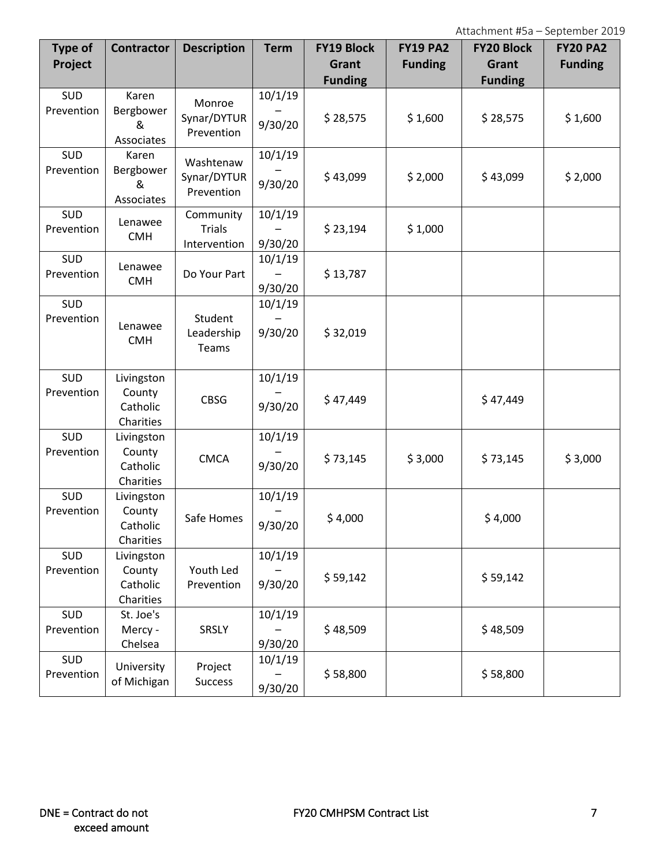| Type of<br>Project       | <b>Contractor</b>                             | <b>Description</b>                         | <b>Term</b>        | <b>FY19 Block</b><br>Grant | <b>FY19 PA2</b><br><b>Funding</b> | <b>FY20 Block</b><br>Grant | <b>FY20 PA2</b><br><b>Funding</b> |
|--------------------------|-----------------------------------------------|--------------------------------------------|--------------------|----------------------------|-----------------------------------|----------------------------|-----------------------------------|
|                          |                                               |                                            |                    | <b>Funding</b>             |                                   | <b>Funding</b>             |                                   |
| SUD<br>Prevention        | Karen<br>Bergbower<br>&<br>Associates         | Monroe<br>Synar/DYTUR<br>Prevention        | 10/1/19<br>9/30/20 | \$28,575                   | \$1,600                           | \$28,575                   | \$1,600                           |
| SUD<br>Prevention        | Karen<br>Bergbower<br>&<br>Associates         | Washtenaw<br>Synar/DYTUR<br>Prevention     | 10/1/19<br>9/30/20 | \$43,099                   | \$2,000                           | \$43,099                   | \$2,000                           |
| SUD<br>Prevention        | Lenawee<br><b>CMH</b>                         | Community<br><b>Trials</b><br>Intervention | 10/1/19<br>9/30/20 | \$23,194                   | \$1,000                           |                            |                                   |
| <b>SUD</b><br>Prevention | Lenawee<br><b>CMH</b>                         | Do Your Part                               | 10/1/19<br>9/30/20 | \$13,787                   |                                   |                            |                                   |
| SUD<br>Prevention        | Lenawee<br><b>CMH</b>                         | Student<br>Leadership<br>Teams             | 10/1/19<br>9/30/20 | \$32,019                   |                                   |                            |                                   |
| SUD<br>Prevention        | Livingston<br>County<br>Catholic<br>Charities | <b>CBSG</b>                                | 10/1/19<br>9/30/20 | \$47,449                   |                                   | \$47,449                   |                                   |
| SUD<br>Prevention        | Livingston<br>County<br>Catholic<br>Charities | <b>CMCA</b>                                | 10/1/19<br>9/30/20 | \$73,145                   | \$3,000                           | \$73,145                   | \$3,000                           |
| SUD<br>Prevention        | Livingston<br>County<br>Catholic<br>Charities | Safe Homes                                 | 10/1/19<br>9/30/20 | \$4,000                    |                                   | \$4,000                    |                                   |
| SUD<br>Prevention        | Livingston<br>County<br>Catholic<br>Charities | Youth Led<br>Prevention                    | 10/1/19<br>9/30/20 | \$59,142                   |                                   | \$59,142                   |                                   |
| SUD<br>Prevention        | St. Joe's<br>Mercy -<br>Chelsea               | SRSLY                                      | 10/1/19<br>9/30/20 | \$48,509                   |                                   | \$48,509                   |                                   |
| <b>SUD</b><br>Prevention | University<br>of Michigan                     | Project<br><b>Success</b>                  | 10/1/19<br>9/30/20 | \$58,800                   |                                   | \$58,800                   |                                   |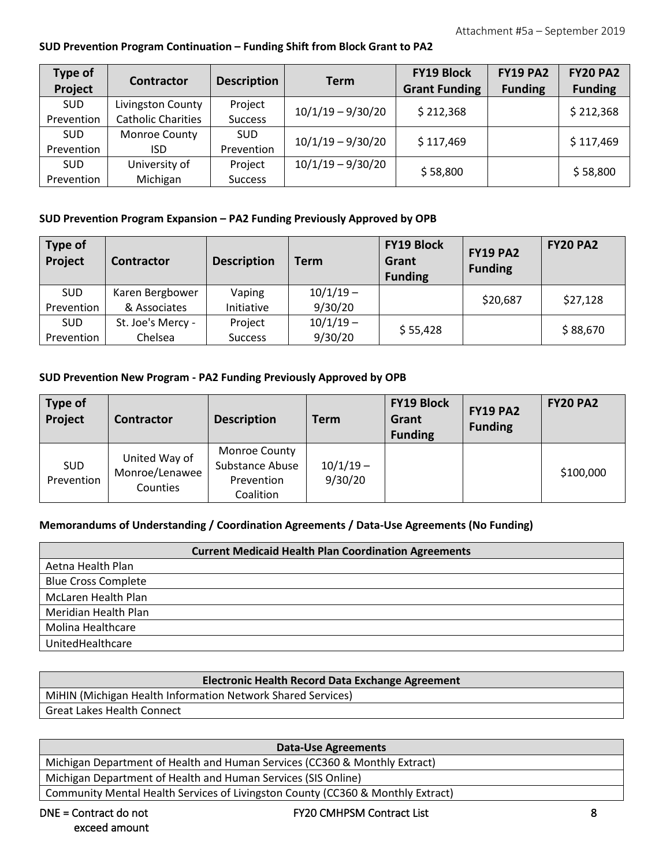## **SUD Prevention Program Continuation – Funding Shift from Block Grant to PA2**

| Type of<br>Project | Contractor                | <b>Description</b> | <b>Term</b>         | <b>FY19 Block</b><br><b>Grant Funding</b> | <b>FY19 PA2</b><br><b>Funding</b> | <b>FY20 PA2</b><br><b>Funding</b> |
|--------------------|---------------------------|--------------------|---------------------|-------------------------------------------|-----------------------------------|-----------------------------------|
| <b>SUD</b>         | Livingston County         | Project            | $10/1/19 - 9/30/20$ | \$212,368                                 |                                   | \$212,368                         |
| Prevention         | <b>Catholic Charities</b> | <b>Success</b>     |                     |                                           |                                   |                                   |
| <b>SUD</b>         | Monroe County             | <b>SUD</b>         | $10/1/19 - 9/30/20$ | \$117,469                                 |                                   | \$117,469                         |
| Prevention         | ISD                       | Prevention         |                     |                                           |                                   |                                   |
| <b>SUD</b>         | University of             | Project            | $10/1/19 - 9/30/20$ |                                           |                                   | \$58,800                          |
| Prevention         | Michigan                  | <b>Success</b>     |                     | \$58,800                                  |                                   |                                   |

## **SUD Prevention Program Expansion – PA2 Funding Previously Approved by OPB**

| <b>Type of</b><br>Project | <b>Contractor</b> | <b>Description</b> | <b>Term</b> | <b>FY19 Block</b><br>Grant<br><b>Funding</b> | <b>FY19 PA2</b><br><b>Funding</b> | <b>FY20 PA2</b> |
|---------------------------|-------------------|--------------------|-------------|----------------------------------------------|-----------------------------------|-----------------|
| <b>SUD</b>                | Karen Bergbower   | Vaping             | $10/1/19 -$ |                                              | \$20,687                          | \$27,128        |
| Prevention                | & Associates      | Initiative         | 9/30/20     |                                              |                                   |                 |
| <b>SUD</b>                | St. Joe's Mercy - | Project            | $10/1/19 -$ | \$55,428                                     |                                   | \$88,670        |
| Prevention                | Chelsea           | <b>Success</b>     | 9/30/20     |                                              |                                   |                 |

## **SUD Prevention New Program - PA2 Funding Previously Approved by OPB**

| Type of<br>Project       | Contractor                                  | <b>Description</b>                                                 | <b>Term</b>            | <b>FY19 Block</b><br>Grant<br><b>Funding</b> | <b>FY19 PA2</b><br><b>Funding</b> | <b>FY20 PA2</b> |
|--------------------------|---------------------------------------------|--------------------------------------------------------------------|------------------------|----------------------------------------------|-----------------------------------|-----------------|
| <b>SUD</b><br>Prevention | United Way of<br>Monroe/Lenawee<br>Counties | <b>Monroe County</b><br>Substance Abuse<br>Prevention<br>Coalition | $10/1/19 -$<br>9/30/20 |                                              |                                   | \$100,000       |

## **Memorandums of Understanding / Coordination Agreements / Data-Use Agreements (No Funding)**

|                            | <b>Current Medicaid Health Plan Coordination Agreements</b> |
|----------------------------|-------------------------------------------------------------|
| Aetna Health Plan          |                                                             |
| <b>Blue Cross Complete</b> |                                                             |
| <b>McLaren Health Plan</b> |                                                             |
| Meridian Health Plan       |                                                             |
| Molina Healthcare          |                                                             |
| UnitedHealthcare           |                                                             |

| <b>Electronic Health Record Data Exchange Agreement</b>     |
|-------------------------------------------------------------|
| MiHIN (Michigan Health Information Network Shared Services) |
| <b>Great Lakes Health Connect</b>                           |

#### **Data-Use Agreements**

Michigan Department of Health and Human Services (CC360 & Monthly Extract)

Michigan Department of Health and Human Services (SIS Online)

Community Mental Health Services of Livingston County (CC360 & Monthly Extract)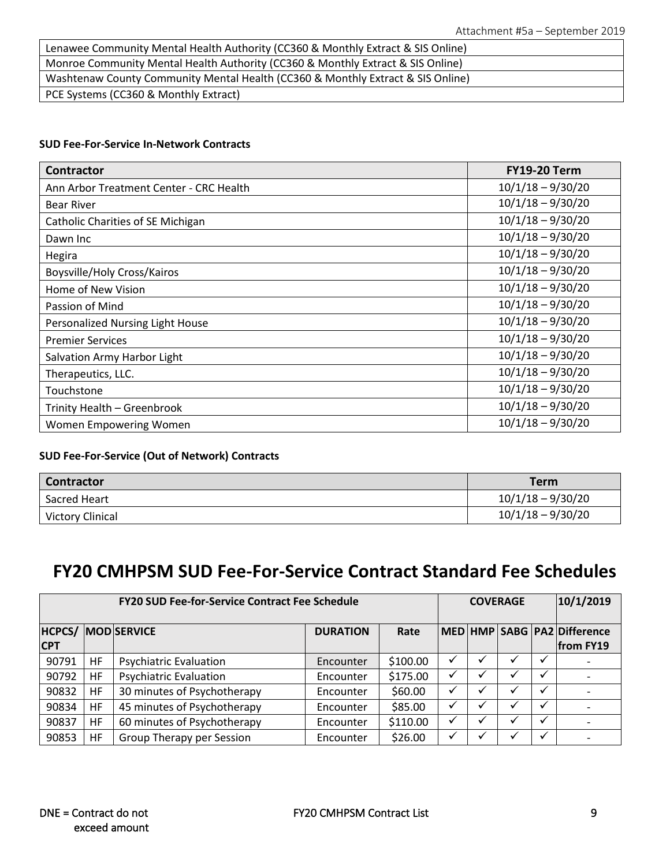| Lenawee Community Mental Health Authority (CC360 & Monthly Extract & SIS Online) |
|----------------------------------------------------------------------------------|
| Monroe Community Mental Health Authority (CC360 & Monthly Extract & SIS Online)  |
| Washtenaw County Community Mental Health (CC360 & Monthly Extract & SIS Online)  |
| PCE Systems (CC360 & Monthly Extract)                                            |

### **SUD Fee-For-Service In-Network Contracts**

| <b>Contractor</b>                       | <b>FY19-20 Term</b> |
|-----------------------------------------|---------------------|
| Ann Arbor Treatment Center - CRC Health | $10/1/18 - 9/30/20$ |
| <b>Bear River</b>                       | $10/1/18 - 9/30/20$ |
| Catholic Charities of SE Michigan       | $10/1/18 - 9/30/20$ |
| Dawn Inc                                | $10/1/18 - 9/30/20$ |
| Hegira                                  | $10/1/18 - 9/30/20$ |
| Boysville/Holy Cross/Kairos             | $10/1/18 - 9/30/20$ |
| Home of New Vision                      | $10/1/18 - 9/30/20$ |
| Passion of Mind                         | $10/1/18 - 9/30/20$ |
| Personalized Nursing Light House        | $10/1/18 - 9/30/20$ |
| <b>Premier Services</b>                 | $10/1/18 - 9/30/20$ |
| Salvation Army Harbor Light             | $10/1/18 - 9/30/20$ |
| Therapeutics, LLC.                      | $10/1/18 - 9/30/20$ |
| Touchstone                              | $10/1/18 - 9/30/20$ |
| Trinity Health - Greenbrook             | $10/1/18 - 9/30/20$ |
| Women Empowering Women                  | $10/1/18 - 9/30/20$ |

## **SUD Fee-For-Service (Out of Network) Contracts**

| <b>Contractor</b>       | <b>Term</b>         |
|-------------------------|---------------------|
| Sacred Heart            | $10/1/18 - 9/30/20$ |
| <b>Victory Clinical</b> | $10/1/18 - 9/30/20$ |

# **FY20 CMHPSM SUD Fee-For-Service Contract Standard Fee Schedules**

| <b>FY20 SUD Fee-for-Service Contract Fee Schedule</b> |           |                               |                 |          |   | <b>COVERAGE</b> |   | 10/1/2019    |                                          |
|-------------------------------------------------------|-----------|-------------------------------|-----------------|----------|---|-----------------|---|--------------|------------------------------------------|
| <b>HCPCS/</b><br><b>CPT</b>                           |           | <b>MOD</b> SERVICE            | <b>DURATION</b> | Rate     |   |                 |   |              | MED HMP SABG PA2 Difference<br>from FY19 |
| 90791                                                 | HF        | <b>Psychiatric Evaluation</b> | Encounter       | \$100.00 | ✔ |                 |   |              |                                          |
| 90792                                                 | <b>HF</b> | <b>Psychiatric Evaluation</b> | Encounter       | \$175.00 | v | ✔               |   | $\checkmark$ |                                          |
| 90832                                                 | HF        | 30 minutes of Psychotherapy   | Encounter       | \$60.00  | ✓ | $\checkmark$    | ✔ | ✓            |                                          |
| 90834                                                 | HF        | 45 minutes of Psychotherapy   | Encounter       | \$85.00  |   |                 |   |              |                                          |
| 90837                                                 | <b>HF</b> | 60 minutes of Psychotherapy   | Encounter       | \$110.00 | ✓ | $\checkmark$    | v | $\checkmark$ |                                          |
| 90853                                                 | HF        | Group Therapy per Session     | Encounter       | \$26.00  | ✓ | √               |   | ✓            |                                          |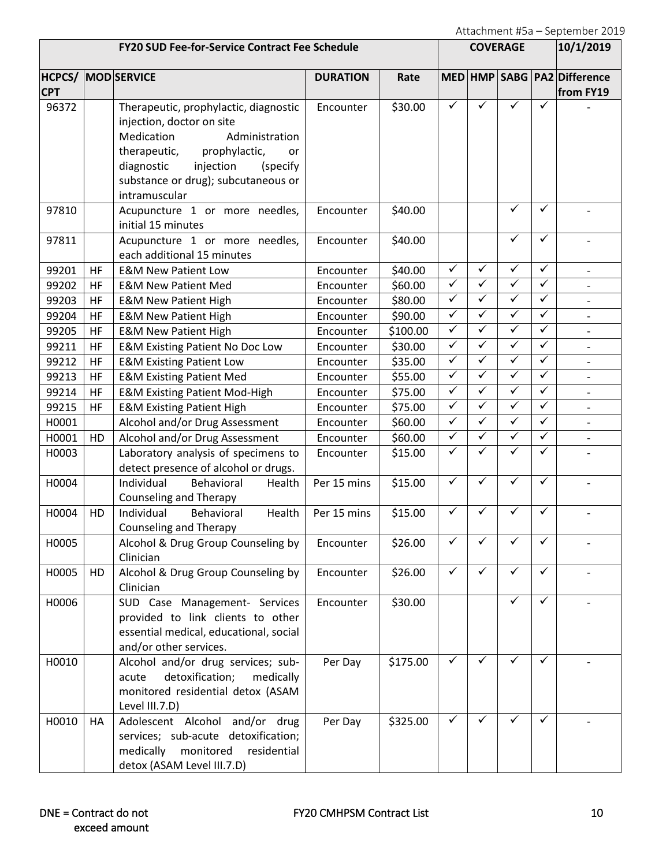| <b>FY20 SUD Fee-for-Service Contract Fee Schedule</b> |           |                                                                                                                                                                                                                                          |                 | <b>COVERAGE</b> |                         |              |                         | 10/1/2019               |                                          |
|-------------------------------------------------------|-----------|------------------------------------------------------------------------------------------------------------------------------------------------------------------------------------------------------------------------------------------|-----------------|-----------------|-------------------------|--------------|-------------------------|-------------------------|------------------------------------------|
| <b>CPT</b>                                            |           | <b>HCPCS/ MOD SERVICE</b>                                                                                                                                                                                                                | <b>DURATION</b> | Rate            |                         |              |                         |                         | MED HMP SABG PA2 Difference<br>from FY19 |
| 96372                                                 |           | Therapeutic, prophylactic, diagnostic<br>injection, doctor on site<br>Medication<br>Administration<br>therapeutic,<br>prophylactic,<br>or<br>diagnostic<br>injection<br>(specify<br>substance or drug); subcutaneous or<br>intramuscular | Encounter       | \$30.00         | ✓                       | ✓            | ✓                       | ✓                       |                                          |
| 97810                                                 |           | Acupuncture 1 or more needles,<br>initial 15 minutes                                                                                                                                                                                     | Encounter       | \$40.00         |                         |              | ✓                       | ✓                       |                                          |
| 97811                                                 |           | Acupuncture 1 or more needles,<br>each additional 15 minutes                                                                                                                                                                             | Encounter       | \$40.00         |                         |              | $\checkmark$            | ✓                       |                                          |
| 99201                                                 | <b>HF</b> | <b>E&amp;M New Patient Low</b>                                                                                                                                                                                                           | Encounter       | \$40.00         | $\checkmark$            | $\checkmark$ | $\checkmark$            | $\checkmark$            | $\overline{\phantom{0}}$                 |
| 99202                                                 | HF        | <b>E&amp;M New Patient Med</b>                                                                                                                                                                                                           | Encounter       | \$60.00         | $\overline{\checkmark}$ | $\checkmark$ | $\checkmark$            | $\checkmark$            |                                          |
| 99203                                                 | HF        | <b>E&amp;M New Patient High</b>                                                                                                                                                                                                          | Encounter       | \$80.00         | $\checkmark$            | ✓            | ✓                       | $\checkmark$            | $\qquad \qquad \blacksquare$             |
| 99204                                                 | <b>HF</b> | <b>E&amp;M New Patient High</b>                                                                                                                                                                                                          | Encounter       | \$90.00         | $\checkmark$            | $\checkmark$ | ✓                       | $\checkmark$            |                                          |
| 99205                                                 | HF        | <b>E&amp;M New Patient High</b>                                                                                                                                                                                                          | Encounter       | \$100.00        | $\overline{\checkmark}$ | $\checkmark$ | $\checkmark$            | $\checkmark$            | $\qquad \qquad \blacksquare$             |
| 99211                                                 | <b>HF</b> | <b>E&amp;M Existing Patient No Doc Low</b>                                                                                                                                                                                               | Encounter       | \$30.00         | $\checkmark$            | $\checkmark$ | $\checkmark$            | $\checkmark$            | $\qquad \qquad -$                        |
| 99212                                                 | HF        | <b>E&amp;M Existing Patient Low</b>                                                                                                                                                                                                      | Encounter       | \$35.00         | $\checkmark$            | $\checkmark$ | ✓                       | $\checkmark$            |                                          |
| 99213                                                 | HF        | <b>E&amp;M Existing Patient Med</b>                                                                                                                                                                                                      | Encounter       | \$55.00         | $\checkmark$            | $\checkmark$ | $\overline{\checkmark}$ | $\checkmark$            | $\overline{a}$                           |
| 99214                                                 | <b>HF</b> | <b>E&amp;M Existing Patient Mod-High</b>                                                                                                                                                                                                 | Encounter       | \$75.00         | $\checkmark$            | $\checkmark$ | $\checkmark$            | $\checkmark$            | $\qquad \qquad -$                        |
| 99215                                                 | <b>HF</b> | <b>E&amp;M Existing Patient High</b>                                                                                                                                                                                                     | Encounter       | \$75.00         | $\checkmark$            | $\checkmark$ | ✓                       | ✓                       |                                          |
| H0001                                                 |           | Alcohol and/or Drug Assessment                                                                                                                                                                                                           | Encounter       | \$60.00         | $\blacktriangledown$    | $\checkmark$ | $\checkmark$            | $\overline{\checkmark}$ | $\overline{a}$                           |
| H0001                                                 | HD        | Alcohol and/or Drug Assessment                                                                                                                                                                                                           | Encounter       | \$60.00         | $\checkmark$            | $\checkmark$ | $\checkmark$            | $\checkmark$            | $\overline{\phantom{a}}$                 |
| H0003                                                 |           | Laboratory analysis of specimens to<br>detect presence of alcohol or drugs.                                                                                                                                                              | Encounter       | \$15.00         | $\checkmark$            | ✓            | ✓                       | ✓                       |                                          |
| H0004                                                 |           | Individual<br>Behavioral<br>Health<br><b>Counseling and Therapy</b>                                                                                                                                                                      | Per 15 mins     | \$15.00         | $\checkmark$            | ✓            | ✓                       | ✓                       |                                          |
| H0004                                                 | HD        | Individual<br>Behavioral<br>Health<br><b>Counseling and Therapy</b>                                                                                                                                                                      | Per 15 mins     | \$15.00         | $\checkmark$            | ✓            | ✓                       | ✓                       |                                          |
| H0005                                                 |           | Alcohol & Drug Group Counseling by<br>Clinician                                                                                                                                                                                          | Encounter       | \$26.00         | ✓                       |              |                         | ✓                       |                                          |
| H0005                                                 | HD        | Alcohol & Drug Group Counseling by<br>Clinician                                                                                                                                                                                          | Encounter       | \$26.00         | $\checkmark$            | $\checkmark$ | ✓                       | $\checkmark$            |                                          |
| H0006                                                 |           | SUD Case Management- Services<br>provided to link clients to other<br>essential medical, educational, social<br>and/or other services.                                                                                                   | Encounter       | \$30.00         |                         |              | ✓                       | ✓                       |                                          |
| H0010                                                 |           | Alcohol and/or drug services; sub-<br>detoxification;<br>medically<br>acute<br>monitored residential detox (ASAM<br>Level III.7.D)                                                                                                       | Per Day         | \$175.00        | ✓                       | ✓            | ✓                       | ✓                       |                                          |
| H0010                                                 | HA        | Adolescent Alcohol and/or drug<br>services; sub-acute detoxification;<br>medically<br>monitored<br>residential<br>detox (ASAM Level III.7.D)                                                                                             | Per Day         | \$325.00        | ✓                       | ✓            | ✓                       | ✓                       |                                          |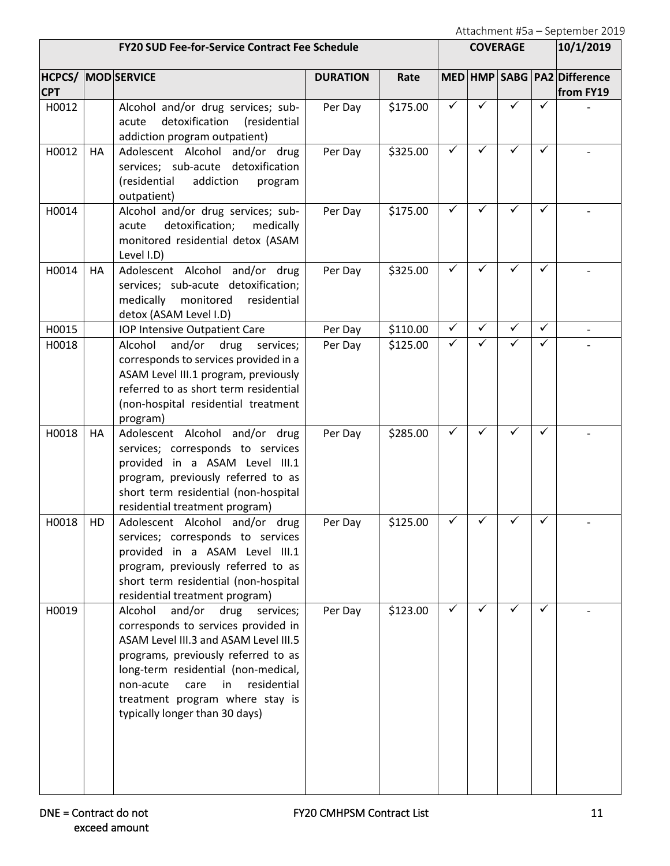|            |    | <b>FY20 SUD Fee-for-Service Contract Fee Schedule</b>                                                                                                                                                                                                                                                               |                 |          | <b>COVERAGE</b> |              |              | 10/1/2019    |                                          |
|------------|----|---------------------------------------------------------------------------------------------------------------------------------------------------------------------------------------------------------------------------------------------------------------------------------------------------------------------|-----------------|----------|-----------------|--------------|--------------|--------------|------------------------------------------|
| <b>CPT</b> |    | <b>HCPCS/ MOD SERVICE</b>                                                                                                                                                                                                                                                                                           | <b>DURATION</b> | Rate     |                 |              |              |              | MED HMP SABG PA2 Difference<br>from FY19 |
| H0012      |    | Alcohol and/or drug services; sub-<br>detoxification<br>(residential<br>acute<br>addiction program outpatient)                                                                                                                                                                                                      | Per Day         | \$175.00 | ✓               | $\checkmark$ |              | ✓            |                                          |
| H0012      | HA | Adolescent Alcohol and/or drug<br>services; sub-acute detoxification<br>(residential<br>addiction<br>program<br>outpatient)                                                                                                                                                                                         | Per Day         | \$325.00 | ✓               | ✓            | ✓            | ✓            |                                          |
| H0014      |    | Alcohol and/or drug services; sub-<br>detoxification;<br>acute<br>medically<br>monitored residential detox (ASAM<br>Level I.D)                                                                                                                                                                                      | Per Day         | \$175.00 | ✓               | ✓            | ✓            | ✓            |                                          |
| H0014      | HA | Adolescent Alcohol and/or drug<br>services; sub-acute detoxification;<br>residential<br>medically<br>monitored<br>detox (ASAM Level I.D)                                                                                                                                                                            | Per Day         | \$325.00 | ✓               | $\checkmark$ | $\checkmark$ | $\checkmark$ |                                          |
| H0015      |    | IOP Intensive Outpatient Care                                                                                                                                                                                                                                                                                       | Per Day         | \$110.00 | ✓               | ✓            | ✓            | ✓            |                                          |
| H0018      |    | and/or<br>Alcohol<br>drug<br>services;<br>corresponds to services provided in a<br>ASAM Level III.1 program, previously<br>referred to as short term residential<br>(non-hospital residential treatment<br>program)                                                                                                 | Per Day         | \$125.00 | ✓               |              |              | ✓            |                                          |
| H0018      | HA | Adolescent Alcohol and/or drug<br>services; corresponds to services<br>provided in a ASAM Level III.1<br>program, previously referred to as<br>short term residential (non-hospital<br>residential treatment program)                                                                                               | Per Day         | \$285.00 | ✓               | ✓            | ✓            | ✓            |                                          |
| H0018      | HD | Adolescent Alcohol and/or drug<br>services; corresponds to services<br>provided in a ASAM Level III.1<br>program, previously referred to as<br>short term residential (non-hospital<br>residential treatment program)                                                                                               | Per Day         | \$125.00 | ✓               |              |              | ✓            |                                          |
| H0019      |    | and/or<br>Alcohol<br>drug<br>services;<br>corresponds to services provided in<br>ASAM Level III.3 and ASAM Level III.5<br>programs, previously referred to as<br>long-term residential (non-medical,<br>residential<br>non-acute<br>care<br>in<br>treatment program where stay is<br>typically longer than 30 days) | Per Day         | \$123.00 | ✓               | ✓            | ✓            | ✓            |                                          |